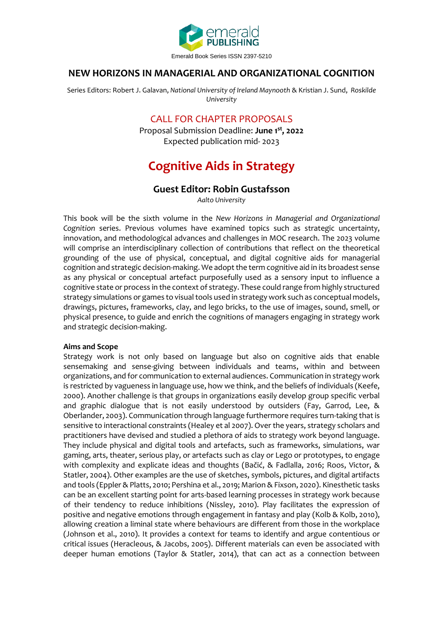

## **NEW HORIZONS IN MANAGERIAL AND ORGANIZATIONAL COGNITION**

Series Editors: Robert J. Galavan, *National University of Ireland Maynooth* & Kristian J. Sund, *Roskilde University*

## CALL FOR CHAPTER PROPOSALS

Proposal Submission Deadline: **June 1 st, 2022** Expected publication mid- 2023

# **Cognitive Aids in Strategy**

## **Guest Editor: Robin Gustafsson**

*Aalto University*

This book will be the sixth volume in the *New Horizons in Managerial and Organizational Cognition* series. Previous volumes have examined topics such as strategic uncertainty, innovation, and methodological advances and challenges in MOC research. The 2023 volume will comprise an interdisciplinary collection of contributions that reflect on the theoretical grounding of the use of physical, conceptual, and digital cognitive aids for managerial cognition and strategic decision-making. We adopt the term cognitive aid in its broadest sense as any physical or conceptual artefact purposefully used as a sensory input to influence a cognitive state or process in the context of strategy. These could range from highly structured strategy simulations or games to visual tools used in strategy work such as conceptual models, drawings, pictures, frameworks, clay, and lego bricks, to the use of images, sound, smell, or physical presence, to guide and enrich the cognitions of managers engaging in strategy work and strategic decision-making.

#### **Aims and Scope**

Strategy work is not only based on language but also on cognitive aids that enable sensemaking and sense-giving between individuals and teams, within and between organizations, and for communication to external audiences. Communication in strategy work is restricted by vagueness in language use, how we think, and the beliefs of individuals (Keefe, 2000). Another challenge is that groups in organizations easily develop group specific verbal and graphic dialogue that is not easily understood by outsiders (Fay, Garrod, Lee, & Oberlander, 2003). Communication through language furthermore requires turn-taking that is sensitive to interactional constraints (Healey et al 2007). Over the years, strategy scholars and practitioners have devised and studied a plethora of aids to strategy work beyond language. They include physical and digital tools and artefacts, such as frameworks, simulations, war gaming, arts, theater, serious play, or artefacts such as clay or Lego or prototypes, to engage with complexity and explicate ideas and thoughts (Bačić, & Fadlalla, 2016; Roos, Victor, & Statler, 2004). Other examples are the use of sketches, symbols, pictures, and digital artifacts and tools (Eppler & Platts, 2010; Pershina et al., 2019; Marion & Fixson, 2020). Kinesthetic tasks can be an excellent starting point for arts-based learning processes in strategy work because of their tendency to reduce inhibitions (Nissley, 2010). Play facilitates the expression of positive and negative emotions through engagement in fantasy and play (Kolb & Kolb, 2010), allowing creation a liminal state where behaviours are different from those in the workplace (Johnson et al., 2010). It provides a context for teams to identify and argue contentious or critical issues (Heracleous, & Jacobs, 2005). Different materials can even be associated with deeper human emotions (Taylor & Statler, 2014), that can act as a connection between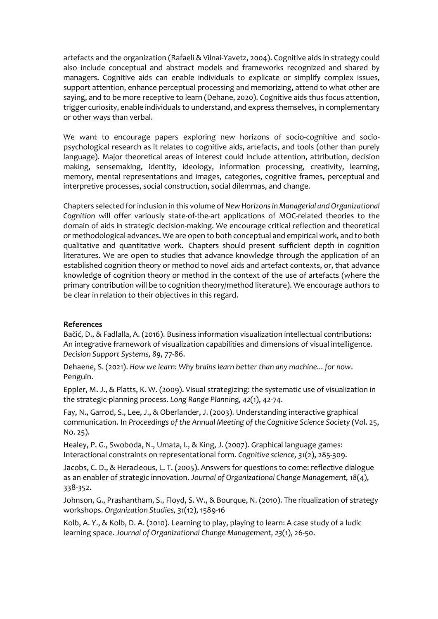artefacts and the organization (Rafaeli & Vilnai-Yavetz, 2004). Cognitive aids in strategy could also include conceptual and abstract models and frameworks recognized and shared by managers. Cognitive aids can enable individuals to explicate or simplify complex issues, support attention, enhance perceptual processing and memorizing, attend to what other are saying, and to be more receptive to learn (Dehane, 2020). Cognitive aids thus focus attention, trigger curiosity, enable individuals to understand, and express themselves, in complementary or other ways than verbal.

We want to encourage papers exploring new horizons of socio-cognitive and sociopsychological research as it relates to cognitive aids, artefacts, and tools (other than purely language). Major theoretical areas of interest could include attention, attribution, decision making, sensemaking, identity, ideology, information processing, creativity, learning, memory, mental representations and images, categories, cognitive frames, perceptual and interpretive processes, social construction, social dilemmas, and change.

Chapters selected for inclusion in this volume of *New Horizons in Managerial and Organizational Cognition* will offer variously state-of-the-art applications of MOC-related theories to the domain of aids in strategic decision-making. We encourage critical reflection and theoretical or methodological advances. We are open to both conceptual and empirical work, and to both qualitative and quantitative work. Chapters should present sufficient depth in cognition literatures. We are open to studies that advance knowledge through the application of an established cognition theory or method to novel aids and artefact contexts, or, that advance knowledge of cognition theory or method in the context of the use of artefacts (where the primary contribution will be to cognition theory/method literature). We encourage authors to be clear in relation to their objectives in this regard.

#### **References**

Bačić, D., & Fadlalla, A. (2016). Business information visualization intellectual contributions: An integrative framework of visualization capabilities and dimensions of visual intelligence. *Decision Support Systems, 89*, 77-86.

Dehaene, S. (2021). *How we learn: Why brains learn better than any machine... for now*. Penguin.

Eppler, M. J., & Platts, K. W. (2009). Visual strategizing: the systematic use of visualization in the strategic-planning process. *Long Range Planning, 42*(1), 42-74.

Fay, N., Garrod, S., Lee, J., & Oberlander, J. (2003). Understanding interactive graphical communication. In *Proceedings of the Annual Meeting of the Cognitive Science Society* (Vol. 25, No. 25).

Healey, P. G., Swoboda, N., Umata, I., & King, J. (2007). Graphical language games: Interactional constraints on representational form. *Cognitive science, 31*(2), 285-309.

Jacobs, C. D., & Heracleous, L. T. (2005). Answers for questions to come: reflective dialogue as an enabler of strategic innovation. *Journal of Organizational Change Management, 18*(4), 338-352.

Johnson, G., Prashantham, S., Floyd, S. W., & Bourque, N. (2010). The ritualization of strategy workshops. *Organization Studies, 31*(12), 1589-16

Kolb, A. Y., & Kolb, D. A. (2010). Learning to play, playing to learn: A case study of a ludic learning space. *Journal of Organizational Change Management, 23*(1), 26-50.